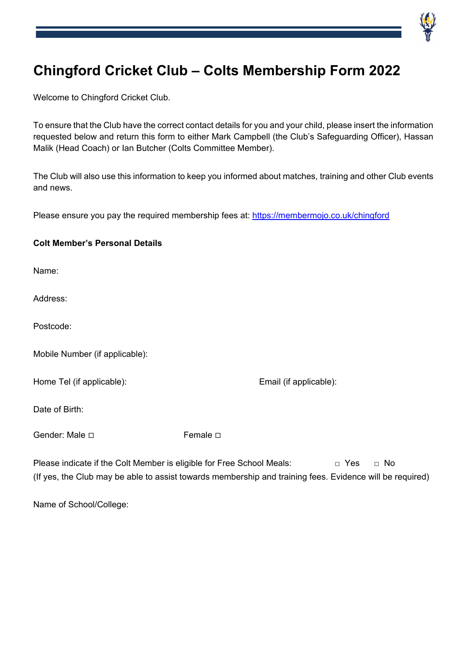

# **Chingford Cricket Club – Colts Membership Form 2022**

Welcome to Chingford Cricket Club.

To ensure that the Club have the correct contact details for you and your child, please insert the information requested below and return this form to either Mark Campbell (the Club's Safeguarding Officer), Hassan Malik (Head Coach) or Ian Butcher (Colts Committee Member).

The Club will also use this information to keep you informed about matches, training and other Club events and news.

Please ensure you pay the required membership fees at: https://membermojo.co.uk/chingford

| <b>Colt Member's Personal Details</b> |  |
|---------------------------------------|--|
|                                       |  |

Name:

Address:

Postcode:

| Mobile Number (if applicable): |  |
|--------------------------------|--|
|--------------------------------|--|

Home Tel (if applicable): Email (if applicable):

Date of Birth:

Gender: Male <del>□</del> **Female □** 

Please indicate if the Colt Member is eligible for Free School Meals: □ Yes □ No (If yes, the Club may be able to assist towards membership and training fees. Evidence will be required)

Name of School/College: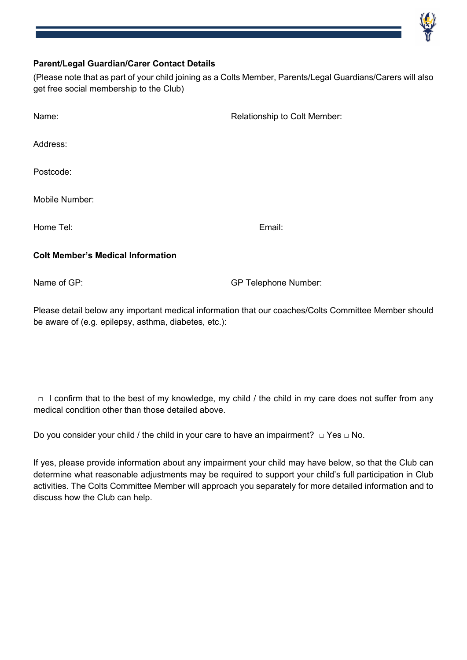# **Parent/Legal Guardian/Carer Contact Details**

(Please note that as part of your child joining as a Colts Member, Parents/Legal Guardians/Carers will also get free social membership to the Club)

| Name:                                    | Relationship to Colt Member: |  |  |
|------------------------------------------|------------------------------|--|--|
| Address:                                 |                              |  |  |
| Postcode:                                |                              |  |  |
| Mobile Number:                           |                              |  |  |
| Home Tel:                                | Email:                       |  |  |
| <b>Colt Member's Medical Information</b> |                              |  |  |

Name of GP: Sample of GP Telephone Number:

Please detail below any important medical information that our coaches/Colts Committee Member should be aware of (e.g. epilepsy, asthma, diabetes, etc.):

 $\Box$  I confirm that to the best of my knowledge, my child / the child in my care does not suffer from any medical condition other than those detailed above.

Do you consider your child / the child in your care to have an impairment?  $\Box$  Yes  $\Box$  No.

If yes, please provide information about any impairment your child may have below, so that the Club can determine what reasonable adjustments may be required to support your child's full participation in Club activities. The Colts Committee Member will approach you separately for more detailed information and to discuss how the Club can help.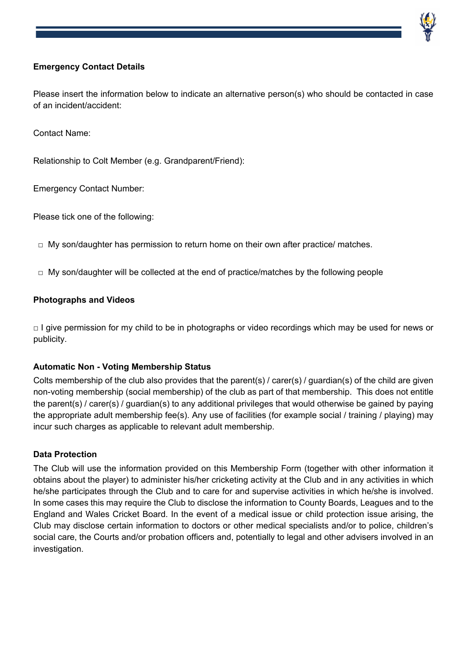# **Emergency Contact Details**

Please insert the information below to indicate an alternative person(s) who should be contacted in case of an incident/accident:

Contact Name:

Relationship to Colt Member (e.g. Grandparent/Friend):

Emergency Contact Number:

Please tick one of the following:

- $\Box$  My son/daughter has permission to return home on their own after practice/ matches.
- $\Box$  My son/daughter will be collected at the end of practice/matches by the following people

## **Photographs and Videos**

 $\Box$  I give permission for my child to be in photographs or video recordings which may be used for news or publicity.

#### **Automatic Non - Voting Membership Status**

Colts membership of the club also provides that the parent(s) / carer(s) / guardian(s) of the child are given non-voting membership (social membership) of the club as part of that membership. This does not entitle the parent(s) / carer(s) / guardian(s) to any additional privileges that would otherwise be gained by paying the appropriate adult membership fee(s). Any use of facilities (for example social / training / playing) may incur such charges as applicable to relevant adult membership.

#### **Data Protection**

The Club will use the information provided on this Membership Form (together with other information it obtains about the player) to administer his/her cricketing activity at the Club and in any activities in which he/she participates through the Club and to care for and supervise activities in which he/she is involved. In some cases this may require the Club to disclose the information to County Boards, Leagues and to the England and Wales Cricket Board. In the event of a medical issue or child protection issue arising, the Club may disclose certain information to doctors or other medical specialists and/or to police, children's social care, the Courts and/or probation officers and, potentially to legal and other advisers involved in an investigation.